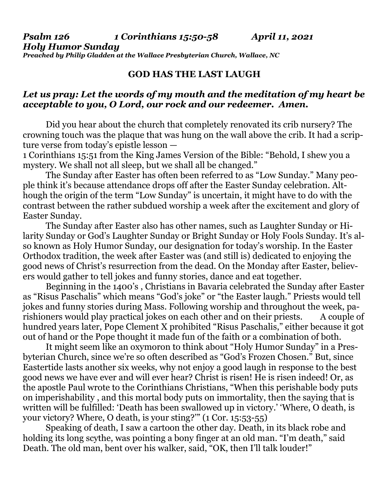## **GOD HAS THE LAST LAUGH**

## *Let us pray: Let the words of my mouth and the meditation of my heart be acceptable to you, O Lord, our rock and our redeemer. Amen.*

Did you hear about the church that completely renovated its crib nursery? The crowning touch was the plaque that was hung on the wall above the crib. It had a scripture verse from today's epistle lesson —

1 Corinthians 15:51 from the King James Version of the Bible: "Behold, I shew you a mystery. We shall not all sleep, but we shall all be changed."

The Sunday after Easter has often been referred to as "Low Sunday." Many people think it's because attendance drops off after the Easter Sunday celebration. Although the origin of the term "Low Sunday" is uncertain, it might have to do with the contrast between the rather subdued worship a week after the excitement and glory of Easter Sunday.

The Sunday after Easter also has other names, such as Laughter Sunday or Hilarity Sunday or God's Laughter Sunday or Bright Sunday or Holy Fools Sunday. It's also known as Holy Humor Sunday, our designation for today's worship. In the Easter Orthodox tradition, the week after Easter was (and still is) dedicated to enjoying the good news of Christ's resurrection from the dead. On the Monday after Easter, believers would gather to tell jokes and funny stories, dance and eat together.

Beginning in the 1400's , Christians in Bavaria celebrated the Sunday after Easter as "Risus Paschalis" which means "God's joke" or "the Easter laugh." Priests would tell jokes and funny stories during Mass. Following worship and throughout the week, parishioners would play practical jokes on each other and on their priests. A couple of hundred years later, Pope Clement X prohibited "Risus Paschalis," either because it got out of hand or the Pope thought it made fun of the faith or a combination of both.

It might seem like an oxymoron to think about "Holy Humor Sunday" in a Presbyterian Church, since we're so often described as "God's Frozen Chosen." But, since Eastertide lasts another six weeks, why not enjoy a good laugh in response to the best good news we have ever and will ever hear? Christ is risen! He is risen indeed! Or, as the apostle Paul wrote to the Corinthians Christians, "When this perishable body puts on imperishability , and this mortal body puts on immortality, then the saying that is written will be fulfilled: 'Death has been swallowed up in victory.' 'Where, O death, is your victory? Where, O death, is your sting?'" (1 Cor. 15:53-55)

Speaking of death, I saw a cartoon the other day. Death, in its black robe and holding its long scythe, was pointing a bony finger at an old man. "I'm death," said Death. The old man, bent over his walker, said, "OK, then I'll talk louder!"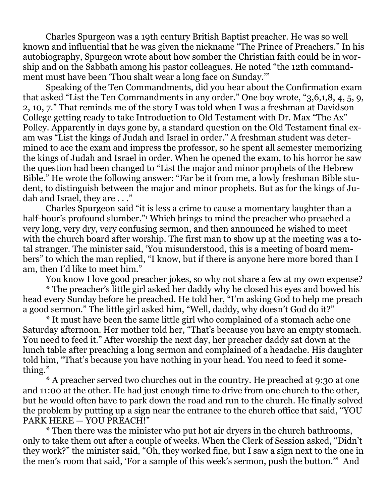Charles Spurgeon was a 19th century British Baptist preacher. He was so well known and influential that he was given the nickname "The Prince of Preachers." In his autobiography, Spurgeon wrote about how somber the Christian faith could be in worship and on the Sabbath among his pastor colleagues. He noted "the 12th commandment must have been 'Thou shalt wear a long face on Sunday.'"

Speaking of the Ten Commandments, did you hear about the Confirmation exam that asked "List the Ten Commandments in any order." One boy wrote, "3,6,1,8, 4, 5, 9, 2, 10, 7." That reminds me of the story I was told when I was a freshman at Davidson College getting ready to take Introduction to Old Testament with Dr. Max "The Ax" Polley. Apparently in days gone by, a standard question on the Old Testament final exam was "List the kings of Judah and Israel in order." A freshman student was determined to ace the exam and impress the professor, so he spent all semester memorizing the kings of Judah and Israel in order. When he opened the exam, to his horror he saw the question had been changed to "List the major and minor prophets of the Hebrew Bible." He wrote the following answer: "Far be it from me, a lowly freshman Bible student, to distinguish between the major and minor prophets. But as for the kings of Judah and Israel, they are . . ."

Charles Spurgeon said "it is less a crime to cause a momentary laughter than a half-hour's profound slumber."<sup>1</sup> Which brings to mind the preacher who preached a very long, very dry, very confusing sermon, and then announced he wished to meet with the church board after worship. The first man to show up at the meeting was a total stranger. The minister said, 'You misunderstood, this is a meeting of board members" to which the man replied, "I know, but if there is anyone here more bored than I am, then I'd like to meet him."

You know I love good preacher jokes, so why not share a few at my own expense?

\* The preacher's little girl asked her daddy why he closed his eyes and bowed his head every Sunday before he preached. He told her, "I'm asking God to help me preach a good sermon." The little girl asked him, "Well, daddy, why doesn't God do it?"

\* It must have been the same little girl who complained of a stomach ache one Saturday afternoon. Her mother told her, "That's because you have an empty stomach. You need to feed it." After worship the next day, her preacher daddy sat down at the lunch table after preaching a long sermon and complained of a headache. His daughter told him, "That's because you have nothing in your head. You need to feed it something."

\* A preacher served two churches out in the country. He preached at 9:30 at one and 11:00 at the other. He had just enough time to drive from one church to the other, but he would often have to park down the road and run to the church. He finally solved the problem by putting up a sign near the entrance to the church office that said, "YOU PARK HERE — YOU PREACH!"

\* Then there was the minister who put hot air dryers in the church bathrooms, only to take them out after a couple of weeks. When the Clerk of Session asked, "Didn't they work?" the minister said, "Oh, they worked fine, but I saw a sign next to the one in the men's room that said, 'For a sample of this week's sermon, push the button.'" And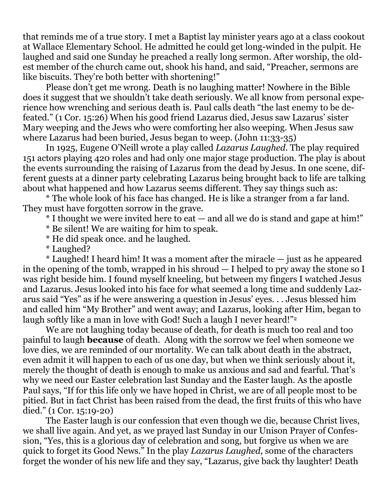that reminds me of a true story. I met a Baptist lay minister years ago at a class cookout at Wallace Elementary School. He admitted he could get long-winded in the pulpit. He laughed and said one Sunday he preached a really long sermon. After worship, the oldest member of the church came out, shook his hand, and said, "Preacher, sermons are like biscuits. They're both better with shortening!"

Please don't get me wrong. Death is no laughing matter! Nowhere in the Bible does it suggest that we shouldn't take death seriously. We all know from personal experience how wrenching and serious death is. Paul calls death "the last enemy to be defeated." (1 Cor. 15:26) When his good friend Lazarus died, Jesus saw Lazarus' sister Mary weeping and the Jews who were comforting her also weeping. When Jesus saw where Lazarus had been buried, Jesus began to weep. (John 11:33-35)

In 1925, Eugene O'Neill wrote a play called *Lazarus Laughed*. The play required 151 actors playing 420 roles and had only one major stage production. The play is about the events surrounding the raising of Lazarus from the dead by Jesus. In one scene, different guests at a dinner party celebrating Lazarus being brought back to life are talking about what happened and how Lazarus seems different. They say things such as:

\* The whole look of his face has changed. He is like a stranger from a far land. They must have forgotten sorrow in the grave.

\* I thought we were invited here to eat — and all we do is stand and gape at him!"

- \* Be silent! We are waiting for him to speak.
- \* He did speak once. and he laughed.
- \* Laughed?

\* Laughed! I heard him! It was a moment after the miracle — just as he appeared in the opening of the tomb, wrapped in his shroud — I helped to pry away the stone so I was right beside him. I found myself kneeling, but between my fingers I watched Jesus and Lazarus. Jesus looked into his face for what seemed a long time and suddenly Lazarus said "Yes" as if he were answering a question in Jesus' eyes. . . Jesus blessed him and called him "My Brother" and went away; and Lazarus, looking after Him, began to laugh softly like a man in love with God! Such a laugh I never heard!"<sup>2</sup>

We are not laughing today because of death, for death is much too real and too painful to laugh **because** of death. Along with the sorrow we feel when someone we love dies, we are reminded of our mortality. We can talk about death in the abstract, even admit it will happen to each of us one day, but when we think seriously about it, merely the thought of death is enough to make us anxious and sad and fearful. That's why we need our Easter celebration last Sunday and the Easter laugh. As the apostle Paul says, "If for this life only we have hoped in Christ, we are of all people most to be pitied. But in fact Christ has been raised from the dead, the first fruits of this who have died." (1 Cor. 15:19-20)

The Easter laugh is our confession that even though we die, because Christ lives, we shall live again. And yet, as we prayed last Sunday in our Unison Prayer of Confession, "Yes, this is a glorious day of celebration and song, but forgive us when we are quick to forget its Good News." In the play *Lazarus Laughed*, some of the characters forget the wonder of his new life and they say, "Lazarus, give back thy laughter! Death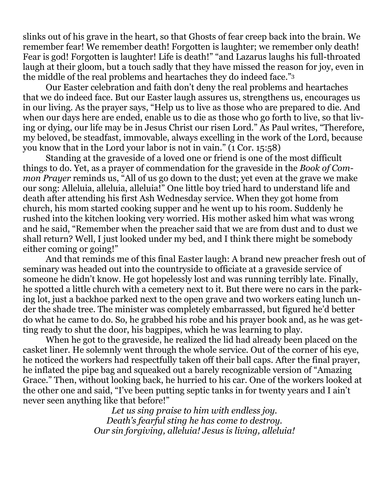slinks out of his grave in the heart, so that Ghosts of fear creep back into the brain. We remember fear! We remember death! Forgotten is laughter; we remember only death! Fear is god! Forgotten is laughter! Life is death!" "and Lazarus laughs his full-throated laugh at their gloom, but a touch sadly that they have missed the reason for joy, even in the middle of the real problems and heartaches they do indeed face."<sup>3</sup>

Our Easter celebration and faith don't deny the real problems and heartaches that we do indeed face. But our Easter laugh assures us, strengthens us, encourages us in our living. As the prayer says, "Help us to live as those who are prepared to die. And when our days here are ended, enable us to die as those who go forth to live, so that living or dying, our life may be in Jesus Christ our risen Lord." As Paul writes, "Therefore, my beloved, be steadfast, immovable, always excelling in the work of the Lord, because you know that in the Lord your labor is not in vain." (1 Cor. 15:58)

Standing at the graveside of a loved one or friend is one of the most difficult things to do. Yet, as a prayer of commendation for the graveside in the *Book of Common Prayer* reminds us, "All of us go down to the dust; yet even at the grave we make our song: Alleluia, alleluia, alleluia!" One little boy tried hard to understand life and death after attending his first Ash Wednesday service. When they got home from church, his mom started cooking supper and he went up to his room. Suddenly he rushed into the kitchen looking very worried. His mother asked him what was wrong and he said, "Remember when the preacher said that we are from dust and to dust we shall return? Well, I just looked under my bed, and I think there might be somebody either coming or going!"

And that reminds me of this final Easter laugh: A brand new preacher fresh out of seminary was headed out into the countryside to officiate at a graveside service of someone he didn't know. He got hopelessly lost and was running terribly late. Finally, he spotted a little church with a cemetery next to it. But there were no cars in the parking lot, just a backhoe parked next to the open grave and two workers eating lunch under the shade tree. The minister was completely embarrassed, but figured he'd better do what he came to do. So, he grabbed his robe and his prayer book and, as he was getting ready to shut the door, his bagpipes, which he was learning to play.

When he got to the graveside, he realized the lid had already been placed on the casket liner. He solemnly went through the whole service. Out of the corner of his eye, he noticed the workers had respectfully taken off their ball caps. After the final prayer, he inflated the pipe bag and squeaked out a barely recognizable version of "Amazing Grace." Then, without looking back, he hurried to his car. One of the workers looked at the other one and said, "I've been putting septic tanks in for twenty years and I ain't never seen anything like that before!"

*Let us sing praise to him with endless joy. Death's fearful sting he has come to destroy. Our sin forgiving, alleluia! Jesus is living, alleluia!*